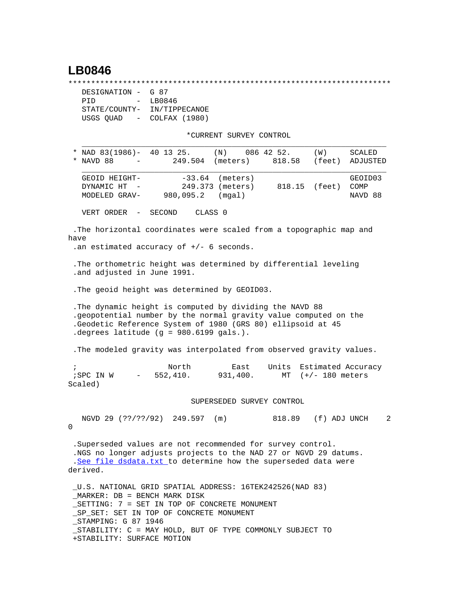## **LB0846**

\*\*\*\*\*\*\*\*\*\*\*\*\*\*\*\*\*\*\*\*\*\*\*\*\*\*\*\*\*\*\*\*\*\*\*\*\*\*\*\*\*\*\*\*\*\*\*\*\*\*\*\*\*\*\*\*\*\*\*\*\*\*\*\*\*\*\*\*\*\*\*

| DESIGNATION - G 87                    |               |
|---------------------------------------|---------------|
| PTD<br>$\sim$ $\sim$                  | LB0846        |
| STATE/COUNTY-                         | IN/TIPPECANOE |
| USGS QUAD<br>$\alpha_{\rm{max}}=0.01$ | COLFAX (1980) |

+STABILITY: SURFACE MOTION

\*CURRENT SURVEY CONTROL

| * NAD 83(1986)- 40 13 25.<br>(N)<br>NAVD 88<br>249.504<br>*<br>(meters)                                                                                                                                                                                                 | 086 42 52.<br>818.58      | (W)<br>(feet)                              | SCALED<br>ADJUSTED         |
|-------------------------------------------------------------------------------------------------------------------------------------------------------------------------------------------------------------------------------------------------------------------------|---------------------------|--------------------------------------------|----------------------------|
| $-33.64$ (meters)<br>GEOID HEIGHT-<br>DYNAMIC HT<br>249.373 (meters)<br>$\sim$ $-$<br>980,095.2<br>(mgal)<br>MODELED GRAV-                                                                                                                                              |                           | 818.15 (feet)                              | GEOID03<br>COMP<br>NAVD 88 |
| CLASS <sub>0</sub><br>VERT ORDER -<br>SECOND                                                                                                                                                                                                                            |                           |                                            |                            |
| The horizontal coordinates were scaled from a topographic map and<br>have<br>.an estimated accuracy of $+/-$ 6 seconds.                                                                                                                                                 |                           |                                            |                            |
| . The orthometric height was determined by differential leveling<br>.and adjusted in June 1991.                                                                                                                                                                         |                           |                                            |                            |
| . The geoid height was determined by GEOID03.                                                                                                                                                                                                                           |                           |                                            |                            |
| . The dynamic height is computed by dividing the NAVD 88<br>.geopotential number by the normal gravity value computed on the<br>.Geodetic Reference System of 1980 (GRS 80) ellipsoid at 45<br>.degrees latitude (g = 980.6199 gals.).                                  |                           |                                            |                            |
| . The modeled gravity was interpolated from observed gravity values.                                                                                                                                                                                                    |                           |                                            |                            |
| North<br>$\ddot{i}$<br>552,410.<br>931,400.<br>; SPC IN W<br>$\frac{1}{2}$ and $\frac{1}{2}$<br>Scaled)                                                                                                                                                                 | Units<br>East             | Estimated Accuracy<br>MT $(+/- 180$ meters |                            |
|                                                                                                                                                                                                                                                                         | SUPERSEDED SURVEY CONTROL |                                            |                            |
| NGVD 29 (??/??/92) 249.597 (m)<br>0                                                                                                                                                                                                                                     |                           | 818.89 (f) ADJ UNCH                        | 2                          |
| . Superseded values are not recommended for survey control.<br>.NGS no longer adjusts projects to the NAD 27 or NGVD 29 datums.<br>.See file dsdata.txt to determine how the superseded data were<br>derived.                                                           |                           |                                            |                            |
| U.S. NATIONAL GRID SPATIAL ADDRESS: 16TEK242526(NAD 83)<br>MARKER: DB = BENCH MARK DISK<br>SETTING: 7 = SET IN TOP OF CONCRETE MONUMENT<br>_SP_SET: SET IN TOP OF CONCRETE MONUMENT<br>_STAMPING: G 87 1946<br>STABILITY: C = MAY HOLD, BUT OF TYPE COMMONLY SUBJECT TO |                           |                                            |                            |